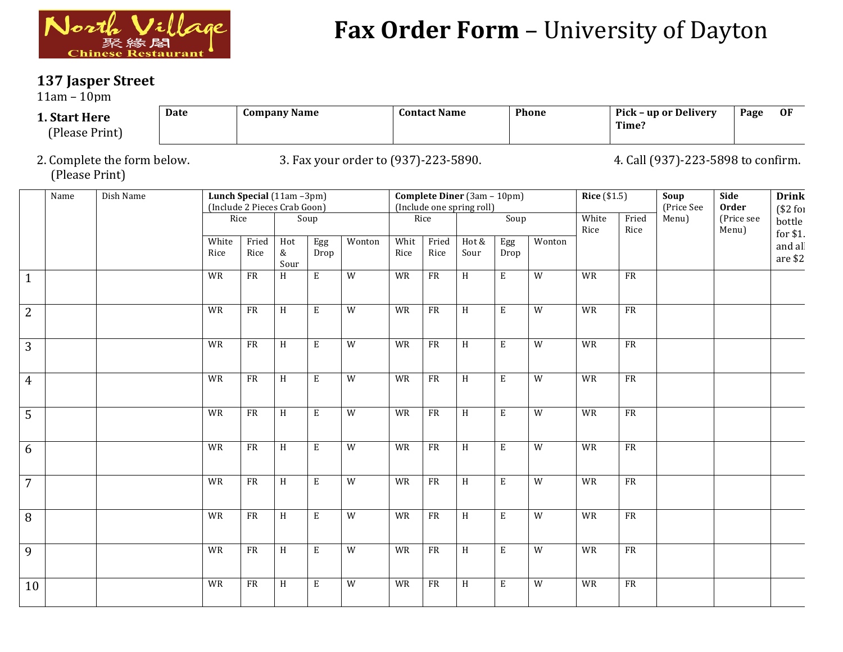

## Fax Order Form - University of Dayton

## **137 Jasper Street**

 $11$ am –  $10$ pm

| 1. Start Here<br>(Please Print) | Date | <b>Company Name</b> | <b>Contact Name</b> | <b>Phone</b> | Pick – up or Delivery<br>Time: | Page | <b>OF</b> |  |  |  |  |  |  |  |
|---------------------------------|------|---------------------|---------------------|--------------|--------------------------------|------|-----------|--|--|--|--|--|--|--|

2. Complete the form below. 3. Fax your order to (937)-223-5890. 4. Call (937)-223-5898 to confirm. (Please Print)

|                | Name | Dish Name |               | Lunch Special (11am -3pm)<br>(Include 2 Pieces Crab Goon) |                  |                         |                |              |               | <b>Complete Diner</b> (3am - 10pm)<br>(Include one spring roll) |                |                | <b>Rice</b> (\$1.5) |               | Soup<br>(Price See | Side<br><b>Order</b> | <b>Drink</b><br>$$2$ for |
|----------------|------|-----------|---------------|-----------------------------------------------------------|------------------|-------------------------|----------------|--------------|---------------|-----------------------------------------------------------------|----------------|----------------|---------------------|---------------|--------------------|----------------------|--------------------------|
|                |      |           | Rice          |                                                           |                  | Soup                    |                |              | Rice          |                                                                 | Soup           |                | White<br>Rice       | Fried<br>Rice | Menu)              | (Price see<br>Menu)  | bottle<br>for \$1.       |
|                |      |           | White<br>Rice | Fried<br>Rice                                             | Hot<br>&<br>Sour | Egg<br>Drop             | Wonton         | Whit<br>Rice | Fried<br>Rice | Hot &<br>Sour                                                   | Egg<br>Drop    | Wonton         |                     |               |                    |                      | and all<br>are \$2       |
| $\mathbf{1}$   |      |           | WR            | ${\rm FR}$                                                | $\overline{H}$   | $\overline{\mathrm{E}}$ | $\overline{W}$ | <b>WR</b>    | FR            | $\,$ H                                                          | $\overline{E}$ | $\overline{W}$ | WR                  | FR            |                    |                      |                          |
| $\overline{2}$ |      |           | WR            | FR                                                        | $\,$ H           | $\mathbf E$             | $\overline{W}$ | WR           | ${\sf FR}$    | H                                                               | $\mathbf E$    | $\overline{W}$ | WR                  | FR            |                    |                      |                          |
| 3              |      |           | WR            | ${\rm FR}$                                                | $\, {\rm H}$     | $\mathbf E$             | ${\mathsf W}$  | <b>WR</b>    | ${\rm FR}$    | H                                                               | $\mathbf E$    | W              | WR                  | ${\rm FR}$    |                    |                      |                          |
| $\overline{4}$ |      |           | WR            | ${\sf FR}$                                                | $\overline{H}$   | E                       | W              | WR           | ${\rm FR}$    | H                                                               | ${\bf E}$      | W              | WR                  | ${\rm FR}$    |                    |                      |                          |
| 5              |      |           | WR            | FR                                                        | H                | E                       | W              | WR           | ${\sf FR}$    | H                                                               | E              | W              | WR                  | ${\rm FR}$    |                    |                      |                          |
| 6              |      |           | WR            | FR                                                        | $\overline{H}$   | $\mathbf E$             | $\overline{W}$ | <b>WR</b>    | FR            | H                                                               | $\mathbf E$    | $\overline{W}$ | WR                  | FR            |                    |                      |                          |
| $\overline{7}$ |      |           | WR            | ${\rm FR}$                                                | $\,$ H           | E                       | $\overline{W}$ | WR           | FR            | H                                                               | $\mathbf E$    | $\overline{W}$ | WR                  | FR            |                    |                      |                          |
| 8              |      |           | WR            | FR                                                        | $\overline{H}$   | $\mathbf E$             | $\overline{W}$ | <b>WR</b>    | FR            | $\,$ H                                                          | $\mathbf E$    | $\overline{W}$ | WR                  | FR            |                    |                      |                          |
| 9              |      |           | WR            | ${\rm FR}$                                                | $\,$ H           | E                       | $\overline{W}$ | WR           | FR            | H                                                               | $\mathbf E$    | $\overline{W}$ | WR                  | FR            |                    |                      |                          |
| 10             |      |           | WR            | FR                                                        | H                | E                       | W              | WR           | ${\sf FR}$    | H                                                               | $\,$ E         | $\overline{W}$ | WR                  | ${\sf FR}$    |                    |                      |                          |